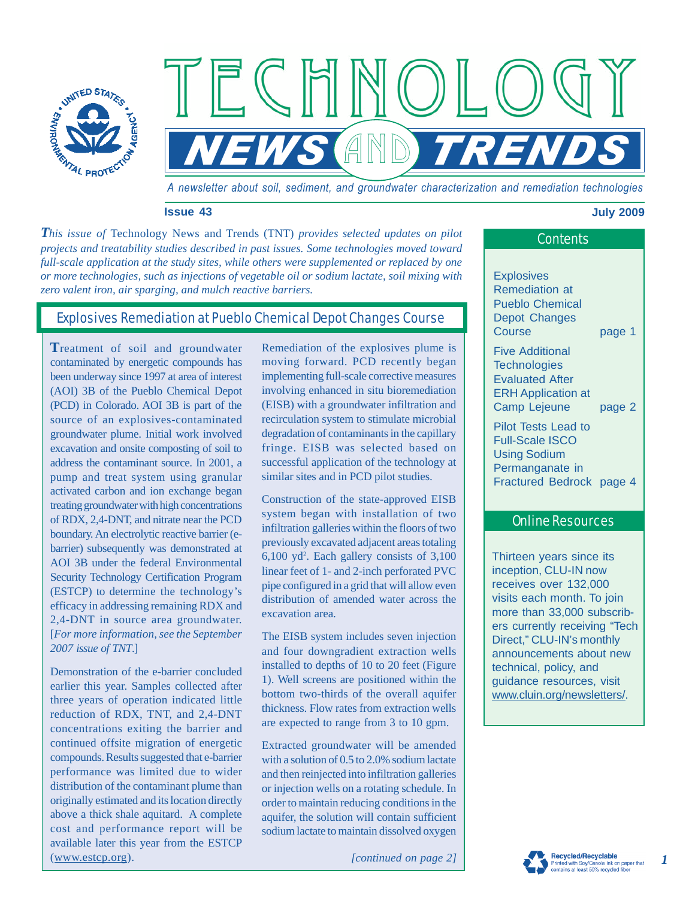

*A newsletter about soil, sediment, and groundwater characterization and remediation technologies*

**NEWS AND TRENDS** 

#### **Issue 43 July 2009**

*This issue of Technology News and Trends (TNT) provides selected updates on pilot* **Contents** *projects and treatability studies described in past issues. Some technologies moved toward full-scale application at the study sites, while others were supplemented or replaced by one or more technologies, such as injections of vegetable oil or sodium lactate, soil mixing with zero valent iron, air sparging, and mulch reactive barriers.*

 $\overline{\Gamma}$  (  $\overline{\Gamma}$ 

# Explosives Remediation at Pueblo Chemical Depot Changes Course

**T**reatment of soil and groundwater contaminated by energetic compounds has been underway since 1997 at area of interest (AOI) 3B of the Pueblo Chemical Depot (PCD) in Colorado. AOI 3B is part of the source of an explosives-contaminated groundwater plume. Initial work involved excavation and onsite composting of soil to address the contaminant source. In 2001, a pump and treat system using granular activated carbon and ion exchange began treating groundwater with high concentrations of RDX, 2,4-DNT, and nitrate near the PCD boundary. An electrolytic reactive barrier (ebarrier) subsequently was demonstrated at AOI 3B under the federal Environmental Security Technology Certification Program (ESTCP) to determine the technology's efficacy in addressing remaining RDX and 2,4-DNT in source area groundwater. [*For more information, see the September 2007 issue of TNT*.]

Demonstration of the e-barrier concluded earlier this year. Samples collected after three years of operation indicated little reduction of RDX, TNT, and 2,4-DNT concentrations exiting the barrier and continued offsite migration of energetic compounds. Results suggested that e-barrier performance was limited due to wider distribution of the contaminant plume than originally estimated and its location directly above a thick shale aquitard. A complete cost and performance report will be available later this year from the ESTCP (www.estcp.org).

Remediation of the explosives plume is moving forward. PCD recently began implementing full-scale corrective measures involving enhanced in situ bioremediation (EISB) with a groundwater infiltration and recirculation system to stimulate microbial degradation of contaminants in the capillary fringe. EISB was selected based on successful application of the technology at similar sites and in PCD pilot studies.

Construction of the state-approved EISB system began with installation of two infiltration galleries within the floors of two previously excavated adjacent areas totaling 6,100 yd2 . Each gallery consists of 3,100 linear feet of 1- and 2-inch perforated PVC pipe configured in a grid that will allow even distribution of amended water across the excavation area.

The EISB system includes seven injection and four downgradient extraction wells installed to depths of 10 to 20 feet (Figure 1). Well screens are positioned within the bottom two-thirds of the overall aquifer thickness. Flow rates from extraction wells are expected to range from 3 to 10 gpm.

Extracted groundwater will be amended with a solution of 0.5 to 2.0% sodium lactate and then reinjected into infiltration galleries or injection wells on a rotating schedule. In order to maintain reducing conditions in the aquifer, the solution will contain sufficient sodium lactate to maintain dissolved oxygen

*[continued on page 2]*

# **Explosives**

Remediation at Pueblo Chemical Depot Changes Course page 1

Five Additional **Technologies** Evaluated After ERH Application at Camp Lejeune page 2

Pilot Tests Lead to Full-Scale ISCO Using Sodium Permanganate in Fractured Bedrock page 4

### Online Resources

Thirteen years since its inception, CLU-IN now receives over 132,000 visits each month. To join more than 33,000 subscribers currently receiving "Tech Direct," CLU-IN's monthly announcements about new technical, policy, and guidance resources, visit www.cluin.org/newsletters/.

*1*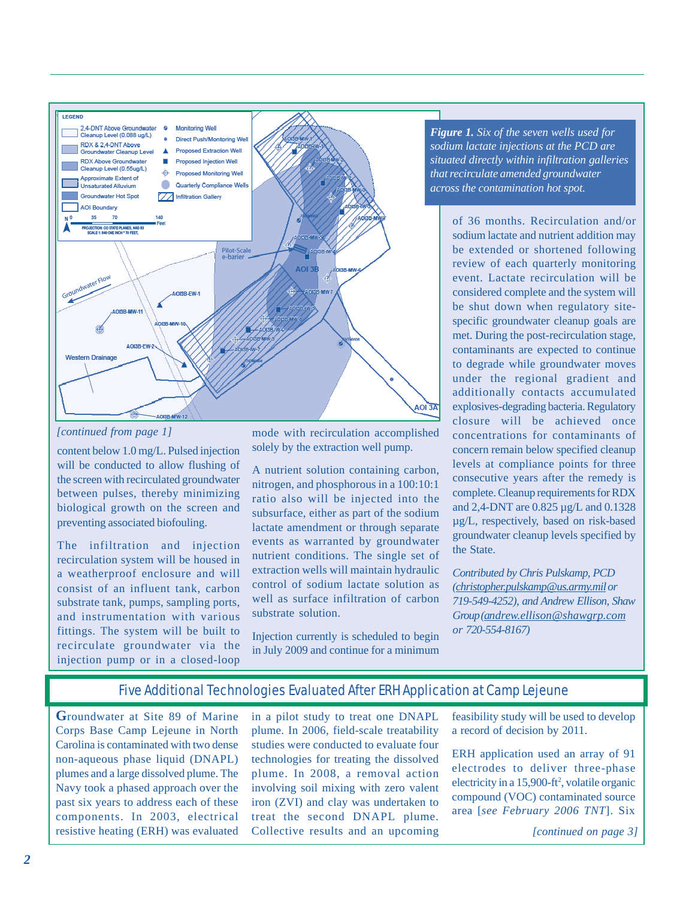

#### *[continued from page 1]*

content below 1.0 mg/L. Pulsed injection will be conducted to allow flushing of the screen with recirculated groundwater between pulses, thereby minimizing biological growth on the screen and preventing associated biofouling.

The infiltration and injection recirculation system will be housed in a weatherproof enclosure and will consist of an influent tank, carbon substrate tank, pumps, sampling ports, and instrumentation with various fittings. The system will be built to recirculate groundwater via the injection pump or in a closed-loop

mode with recirculation accomplished solely by the extraction well pump.

A nutrient solution containing carbon, nitrogen, and phosphorous in a 100:10:1 ratio also will be injected into the subsurface, either as part of the sodium lactate amendment or through separate events as warranted by groundwater nutrient conditions. The single set of extraction wells will maintain hydraulic control of sodium lactate solution as well as surface infiltration of carbon substrate solution.

Injection currently is scheduled to begin in July 2009 and continue for a minimum

*Figure 1. Six of the seven wells used for sodium lactate injections at the PCD are situated directly within infiltration galleries that recirculate amended groundwater across the contamination hot spot.*

> of 36 months. Recirculation and/or sodium lactate and nutrient addition may be extended or shortened following review of each quarterly monitoring event. Lactate recirculation will be considered complete and the system will be shut down when regulatory sitespecific groundwater cleanup goals are met. During the post-recirculation stage, contaminants are expected to continue to degrade while groundwater moves under the regional gradient and additionally contacts accumulated explosives-degrading bacteria. Regulatory closure will be achieved once concentrations for contaminants of concern remain below specified cleanup levels at compliance points for three consecutive years after the remedy is complete. Cleanup requirements for RDX and 2,4-DNT are 0.825 µg/L and 0.1328 µg/L, respectively, based on risk-based groundwater cleanup levels specified by the State.

> *Contributed by Chris Pulskamp, PCD (christopher.pulskamp@us.army.mil or 719-549-4252), and Andrew Ellison, Shaw Group (andrew.ellison@shawgrp.com or 720-554-8167)*

# Five Additional Technologies Evaluated After ERH Application at Camp Lejeune

**G**roundwater at Site 89 of Marine Corps Base Camp Lejeune in North Carolina is contaminated with two dense non-aqueous phase liquid (DNAPL) plumes and a large dissolved plume. The Navy took a phased approach over the past six years to address each of these components. In 2003, electrical resistive heating (ERH) was evaluated in a pilot study to treat one DNAPL plume. In 2006, field-scale treatability studies were conducted to evaluate four technologies for treating the dissolved plume. In 2008, a removal action involving soil mixing with zero valent iron (ZVI) and clay was undertaken to treat the second DNAPL plume. Collective results and an upcoming feasibility study will be used to develop a record of decision by 2011.

ERH application used an array of 91 electrodes to deliver three-phase electricity in a 15,900-ft<sup>2</sup>, volatile organic compound (VOC) contaminated source area [*see February 2006 TNT*]. Six

*[continued on page 3]*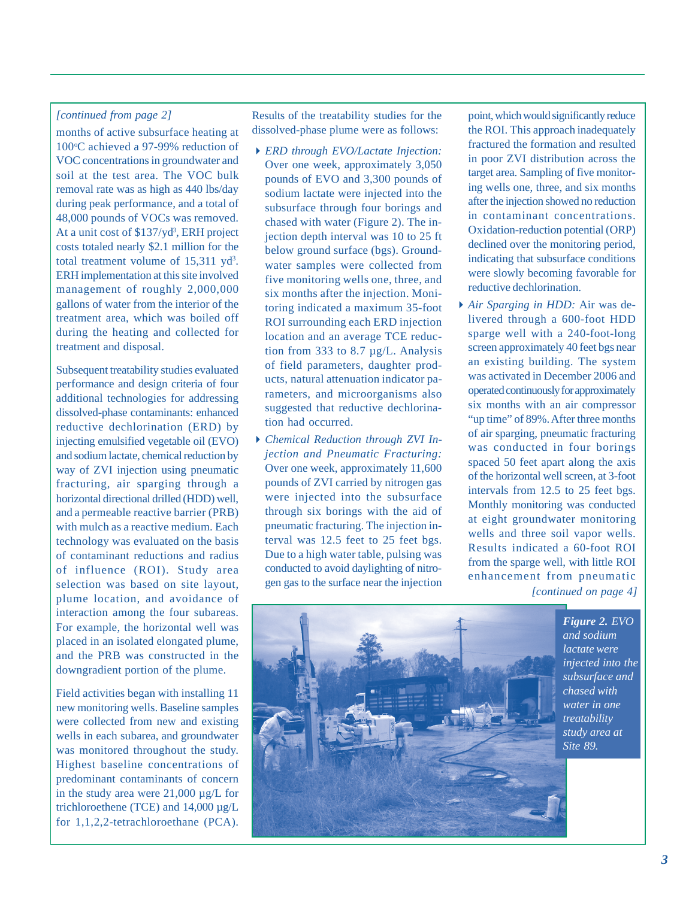#### *[continued from page 2]*

months of active subsurface heating at 100°C achieved a 97-99% reduction of VOC concentrations in groundwater and soil at the test area. The VOC bulk removal rate was as high as 440 lbs/day during peak performance, and a total of 48,000 pounds of VOCs was removed. At a unit cost of \$137/yd<sup>3</sup>, ERH project costs totaled nearly \$2.1 million for the total treatment volume of  $15,311$  yd<sup>3</sup>. ERH implementation at this site involved management of roughly 2,000,000 gallons of water from the interior of the treatment area, which was boiled off during the heating and collected for treatment and disposal.

Subsequent treatability studies evaluated performance and design criteria of four additional technologies for addressing dissolved-phase contaminants: enhanced reductive dechlorination (ERD) by injecting emulsified vegetable oil (EVO) and sodium lactate, chemical reduction by way of ZVI injection using pneumatic fracturing, air sparging through a horizontal directional drilled (HDD) well, and a permeable reactive barrier (PRB) with mulch as a reactive medium. Each technology was evaluated on the basis of contaminant reductions and radius of influence (ROI). Study area selection was based on site layout, plume location, and avoidance of interaction among the four subareas. For example, the horizontal well was placed in an isolated elongated plume, and the PRB was constructed in the downgradient portion of the plume.

Field activities began with installing 11 new monitoring wells. Baseline samples were collected from new and existing wells in each subarea, and groundwater was monitored throughout the study. Highest baseline concentrations of predominant contaminants of concern in the study area were 21,000 µg/L for trichloroethene (TCE) and 14,000 µg/L for 1,1,2,2-tetrachloroethane (PCA). Results of the treatability studies for the dissolved-phase plume were as follows:

- *ERD through EVO/Lactate Injection:* Over one week, approximately 3,050 pounds of EVO and 3,300 pounds of sodium lactate were injected into the subsurface through four borings and chased with water (Figure 2). The injection depth interval was 10 to 25 ft below ground surface (bgs). Groundwater samples were collected from five monitoring wells one, three, and six months after the injection. Monitoring indicated a maximum 35-foot ROI surrounding each ERD injection location and an average TCE reduction from 333 to 8.7 µg/L. Analysis of field parameters, daughter products, natural attenuation indicator parameters, and microorganisms also suggested that reductive dechlorination had occurred.
- *Chemical Reduction through ZVI Injection and Pneumatic Fracturing:* Over one week, approximately 11,600 pounds of ZVI carried by nitrogen gas were injected into the subsurface through six borings with the aid of pneumatic fracturing. The injection interval was 12.5 feet to 25 feet bgs. Due to a high water table, pulsing was conducted to avoid daylighting of nitrogen gas to the surface near the injection

point, which would significantly reduce the ROI. This approach inadequately fractured the formation and resulted in poor ZVI distribution across the target area. Sampling of five monitoring wells one, three, and six months after the injection showed no reduction in contaminant concentrations. Oxidation-reduction potential (ORP) declined over the monitoring period, indicating that subsurface conditions were slowly becoming favorable for reductive dechlorination.

*[continued on page 4] Air Sparging in HDD:* Air was delivered through a 600-foot HDD sparge well with a 240-foot-long screen approximately 40 feet bgs near an existing building. The system was activated in December 2006 and operated continuously for approximately six months with an air compressor "up time" of 89%. After three months of air sparging, pneumatic fracturing was conducted in four borings spaced 50 feet apart along the axis of the horizontal well screen, at 3-foot intervals from 12.5 to 25 feet bgs. Monthly monitoring was conducted at eight groundwater monitoring wells and three soil vapor wells. Results indicated a 60-foot ROI from the sparge well, with little ROI enhancement from pneumatic



*Figure 2. EVO and sodium lactate were injected into the subsurface and chased with water in one treatability study area at Site 89.*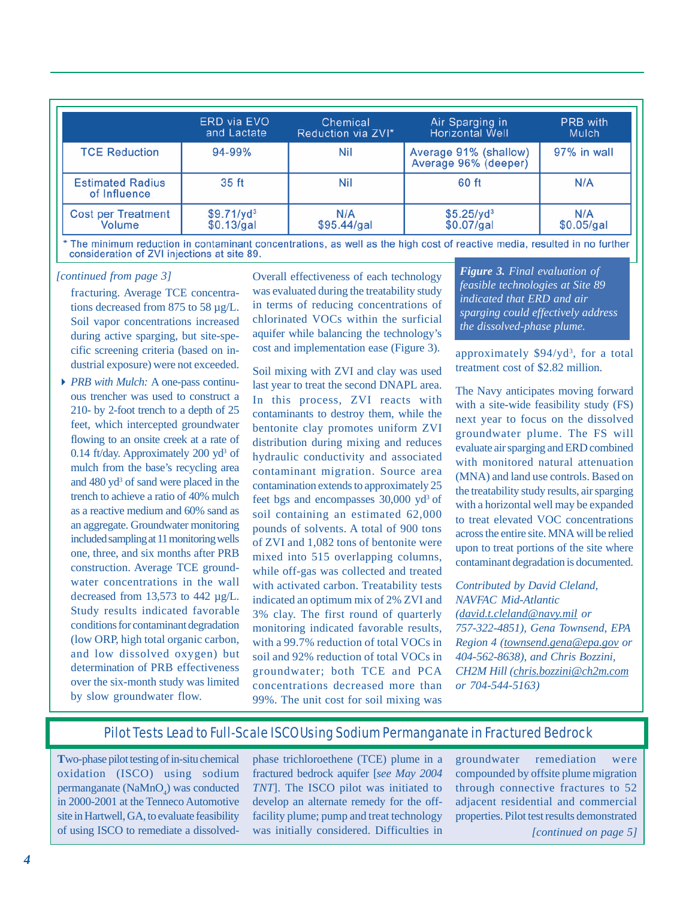|                                         | <b>ERD</b> via EVO     | Chemical           | Air Sparging in                               | PRB with    |
|-----------------------------------------|------------------------|--------------------|-----------------------------------------------|-------------|
|                                         | and Lactate            | Reduction via ZVI* | <b>Horizontal Well</b>                        | Mulch       |
| <b>TCE Reduction</b>                    | 94-99%                 | Nil                | Average 91% (shallow)<br>Average 96% (deeper) | 97% in wall |
| <b>Estimated Radius</b><br>of Influence | 35 ft                  | Nil                | 60 ft                                         | N/A         |
| <b>Cost per Treatment</b>               | \$9.71/yd <sup>3</sup> | N/A                | $$5.25$ /yd <sup>3</sup>                      | N/A         |
| Volume                                  | \$0.13/gal             | \$95.44/gal        | \$0.07/gal                                    | \$0.05/gal  |

\* The minimum reduction in contaminant concentrations, as well as the high cost of reactive media, resulted in no further consideration of ZVI injections at site 89.

#### *[continued from page 3]*

fracturing. Average TCE concentrations decreased from 875 to 58 µg/L. Soil vapor concentrations increased during active sparging, but site-specific screening criteria (based on industrial exposure) were not exceeded.

*PRB with Mulch:* A one-pass continuous trencher was used to construct a 210- by 2-foot trench to a depth of 25 feet, which intercepted groundwater flowing to an onsite creek at a rate of 0.14 ft/day. Approximately 200 yd<sup>3</sup> of mulch from the base's recycling area and 480 yd<sup>3</sup> of sand were placed in the trench to achieve a ratio of 40% mulch as a reactive medium and 60% sand as an aggregate. Groundwater monitoring included sampling at 11 monitoring wells one, three, and six months after PRB construction. Average TCE groundwater concentrations in the wall decreased from 13,573 to 442 µg/L. Study results indicated favorable conditions for contaminant degradation (low ORP, high total organic carbon, and low dissolved oxygen) but determination of PRB effectiveness over the six-month study was limited by slow groundwater flow.

Overall effectiveness of each technology was evaluated during the treatability study in terms of reducing concentrations of chlorinated VOCs within the surficial aquifer while balancing the technology's cost and implementation ease (Figure 3).

Soil mixing with ZVI and clay was used last year to treat the second DNAPL area. In this process, ZVI reacts with contaminants to destroy them, while the bentonite clay promotes uniform ZVI distribution during mixing and reduces hydraulic conductivity and associated contaminant migration. Source area contamination extends to approximately 25 feet bgs and encompasses 30,000 yd<sup>3</sup> of soil containing an estimated 62,000 pounds of solvents. A total of 900 tons of ZVI and 1,082 tons of bentonite were mixed into 515 overlapping columns, while off-gas was collected and treated with activated carbon. Treatability tests indicated an optimum mix of 2% ZVI and 3% clay. The first round of quarterly monitoring indicated favorable results, with a 99.7% reduction of total VOCs in soil and 92% reduction of total VOCs in groundwater; both TCE and PCA concentrations decreased more than 99%. The unit cost for soil mixing was

*Figure 3. Final evaluation of feasible technologies at Site 89 indicated that ERD and air sparging could effectively address the dissolved-phase plume.*

approximately \$94/yd<sup>3</sup>, for a total treatment cost of \$2.82 million.

The Navy anticipates moving forward with a site-wide feasibility study (FS) next year to focus on the dissolved groundwater plume. The FS will evaluate air sparging and ERD combined with monitored natural attenuation (MNA) and land use controls. Based on the treatability study results, air sparging with a horizontal well may be expanded to treat elevated VOC concentrations across the entire site. MNA will be relied upon to treat portions of the site where contaminant degradation is documented.

# *Contributed by David Cleland, NAVFAC Mid-Atlantic*

*(david.t.cleland@navy.mil or 757-322-4851), Gena Townsend, EPA Region 4 (townsend.gena@epa.gov or 404-562-8638), and Chris Bozzini, CH2M Hill (chris.bozzini@ch2m.com or 704-544-5163)*

# Pilot Tests Lead to Full-Scale ISCO Using Sodium Permanganate in Fractured Bedrock

**T**wo-phase pilot testing of in-situ chemical oxidation (ISCO) using sodium permanganate  $(NaMnO<sub>4</sub>)$  was conducted in 2000-2001 at the Tenneco Automotive site in Hartwell, GA, to evaluate feasibility of using ISCO to remediate a dissolvedphase trichloroethene (TCE) plume in a fractured bedrock aquifer [*see May 2004 TNT*]. The ISCO pilot was initiated to develop an alternate remedy for the offfacility plume; pump and treat technology was initially considered. Difficulties in

groundwater remediation were compounded by offsite plume migration through connective fractures to 52 adjacent residential and commercial properties. Pilot test results demonstrated

*[continued on page 5]*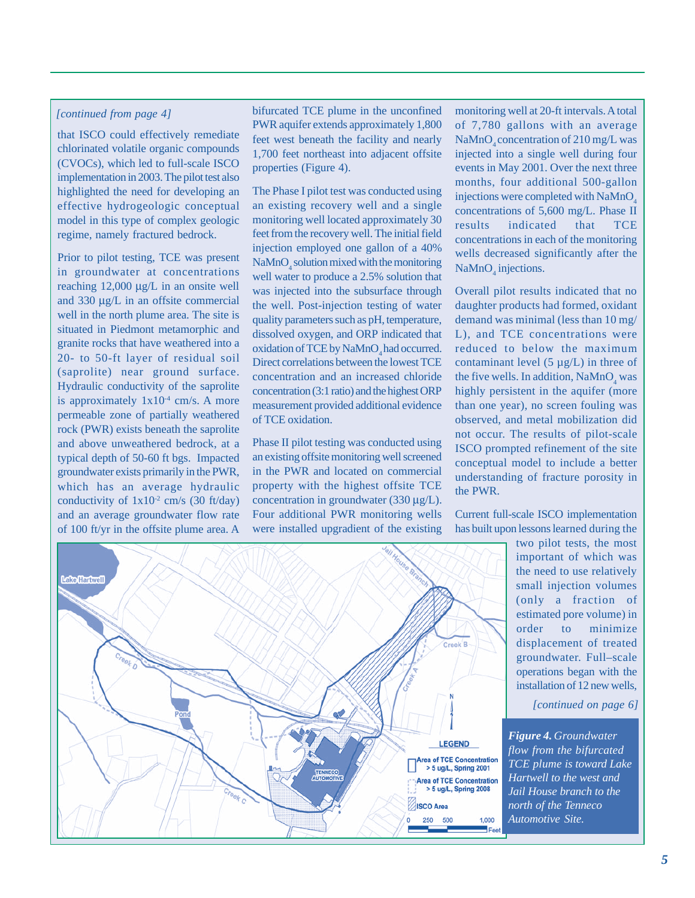## *[continued from page 4]*

that ISCO could effectively remediate chlorinated volatile organic compounds (CVOCs), which led to full-scale ISCO implementation in 2003. The pilot test also highlighted the need for developing an effective hydrogeologic conceptual model in this type of complex geologic regime, namely fractured bedrock.

Prior to pilot testing, TCE was present in groundwater at concentrations reaching 12,000 μg/L in an onsite well and 330 μg/L in an offsite commercial well in the north plume area. The site is situated in Piedmont metamorphic and granite rocks that have weathered into a 20- to 50-ft layer of residual soil (saprolite) near ground surface. Hydraulic conductivity of the saprolite is approximately  $1x10^{-4}$  cm/s. A more permeable zone of partially weathered rock (PWR) exists beneath the saprolite and above unweathered bedrock, at a typical depth of 50-60 ft bgs. Impacted groundwater exists primarily in the PWR, which has an average hydraulic conductivity of  $1x10^2$  cm/s (30 ft/day) and an average groundwater flow rate of 100 ft/yr in the offsite plume area. A

bifurcated TCE plume in the unconfined PWR aquifer extends approximately 1,800 feet west beneath the facility and nearly 1,700 feet northeast into adjacent offsite properties (Figure 4).

The Phase I pilot test was conducted using an existing recovery well and a single monitoring well located approximately 30 feet from the recovery well. The initial field injection employed one gallon of a 40%  $\text{NaMnO}_4$  solution mixed with the monitoring well water to produce a 2.5% solution that was injected into the subsurface through the well. Post-injection testing of water quality parameters such as pH, temperature, dissolved oxygen, and ORP indicated that oxidation of TCE by NaMnO<sub>4</sub> had occurred. Direct correlations between the lowest TCE concentration and an increased chloride concentration (3:1 ratio) and the highest ORP measurement provided additional evidence of TCE oxidation.

Phase II pilot testing was conducted using an existing offsite monitoring well screened in the PWR and located on commercial property with the highest offsite TCE concentration in groundwater (330 μg/L). Four additional PWR monitoring wells were installed upgradient of the existing

monitoring well at 20-ft intervals. A total of 7,780 gallons with an average NaMnO<sub>.</sub> concentration of 210 mg/L was injected into a single well during four events in May 2001. Over the next three months, four additional 500-gallon injections were completed with  $NaMnO<sub>4</sub>$ concentrations of 5,600 mg/L. Phase II results indicated that TCE concentrations in each of the monitoring wells decreased significantly after the  $\text{NaMnO}_4$  injections.

Overall pilot results indicated that no daughter products had formed, oxidant demand was minimal (less than 10 mg/ L), and TCE concentrations were reduced to below the maximum contaminant level  $(5 \mu g/L)$  in three of the five wells. In addition,  $\text{NaMnO}_4$  was highly persistent in the aquifer (more than one year), no screen fouling was observed, and metal mobilization did not occur. The results of pilot-scale ISCO prompted refinement of the site conceptual model to include a better understanding of fracture porosity in the PWR.

Current full-scale ISCO implementation has built upon lessons learned during the

> two pilot tests, the most important of which was the need to use relatively small injection volumes (only a fraction of estimated pore volume) in order to minimize displacement of treated groundwater. Full–scale operations began with the installation of 12 new wells,

> > *[continued on page 6]*

*Figure 4. Groundwater flow from the bifurcated TCE plume is toward Lake Hartwell to the west and Jail House branch to the north of the Tenneco Automotive Site.*



*5*